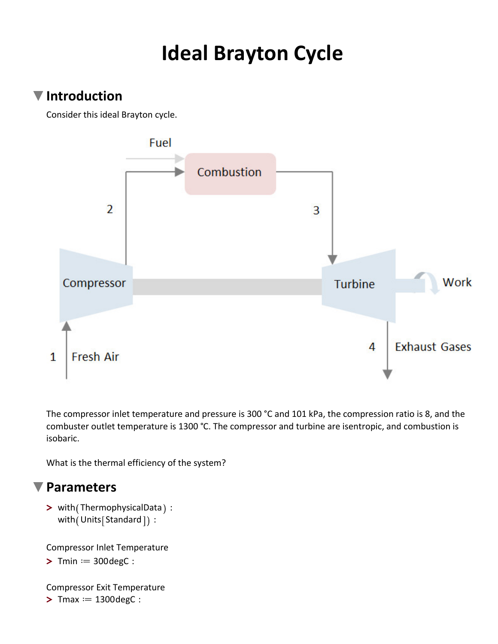# **Ideal Brayton Cycle**

#### **Introduction**

Consider this ideal Brayton cycle.



The compressor inlet temperature and pressure is 300 °C and 101 kPa, the compression ratio is 8, and the combuster outlet temperature is 1300 °C. The compressor and turbine are isentropic, and combustion is isobaric.

What is the thermal efficiency of the system?

#### **Parameters**

> with (ThermophysicalData):  $with (Units[Standard])$ :

Compressor Inlet Temperature

 $\triangleright$  Tmin  $:=$  300 degC :

 $>$  Tmax  $:= 1300 \text{degC}$  : Compressor Exit Temperature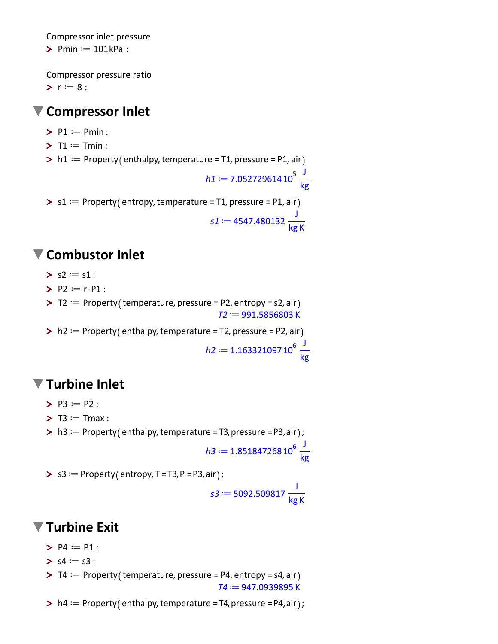Compressor inlet pressure

 $\triangleright$  Pmin  $:=$  101kPa :

**>**  $r := 8$  : Compressor pressure ratio

#### **Compressor Inlet**

- $\blacktriangleright$  P1  $:=$  Pmin :
- $\blacktriangleright$  T1  $:=$  Tmin :
- $\triangleright$  h1  $:=$  Property (enthalpy, temperature = T1, pressure = P1, air

$$
h1 := 7.05272961410^{5} \frac{J}{kg}
$$

 $\triangleright$  s1  $:=$  Property (entropy, temperature = T1, pressure = P1, air

$$
s1 := 4547.480132 \frac{J}{kg K}
$$

#### **Combustor Inlet**

- $>$  s2  $:=$  s1 :
- $\blacktriangleright$  P2 = r·P1 :
- $\triangleright$  T2  $:=$  Property (temperature, pressure = P2, entropy = s2, air  $T2 \mathrel{\mathop:}= 991.5856803 \text{ K}$
- $\triangleright$  h2  $:=$  Property (enthalpy, temperature = T2, pressure = P2, air

 $h2 \coloneqq 1.16332109710^6 \frac{J}{h}$ kg

## **Turbine Inlet**

- $\blacktriangleright$  P3  $:=$  P2 :
- $\blacktriangleright$  T3  $:=$  Tmax :
- $\triangleright$  h3 = Property (enthalpy, temperature =T3, pressure =P3, air );

$$
h3 := 1.85184726810^6 \frac{J}{kg}
$$

 $>$  s3  $:=$  Property (entropy, T = T3, P = P3, air );

$$
s3 := 5092.509817 \frac{J}{\text{kg K}}
$$

## **Turbine Exit**

- $>$  P4  $:=$  P1 :
- $> s4 := s3$ :
- $\triangleright$  T4  $:=$  Property (temperature, pressure = P4, entropy = s4, air  $T4 = 947.0939895$  K
- $\triangleright$  h4  $:=$  Property (enthalpy, temperature =T4, pressure =P4, air ) ;